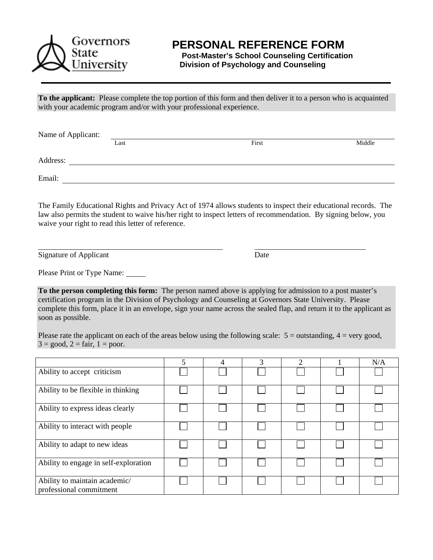

## **PERSONAL REFERENCE FORM**

 **Post-Master's School Counseling Certification Division of Psychology and Counseling** 

**To the applicant:** Please complete the top portion of this form and then deliver it to a person who is acquainted with your academic program and/or with your professional experience.

| Name of Applicant: |      |       |        |  |  |
|--------------------|------|-------|--------|--|--|
|                    | Last | First | Middle |  |  |
| Address:           |      |       |        |  |  |
| Email:             |      |       |        |  |  |

The Family Educational Rights and Privacy Act of 1974 allows students to inspect their educational records. The law also permits the student to waive his/her right to inspect letters of recommendation. By signing below, you waive your right to read this letter of reference.

Signature of Applicant Date

Please Print or Type Name:

**To the person completing this form:** The person named above is applying for admission to a post master's certification program in the Division of Psychology and Counseling at Governors State University. Please complete this form, place it in an envelope, sign your name across the sealed flap, and return it to the applicant as soon as possible.

Please rate the applicant on each of the areas below using the following scale:  $5 =$  outstanding,  $4 =$  very good,  $3 = \text{good}, 2 = \text{fair}, 1 = \text{poor}.$ 

|                                                          | 5 | $\overline{4}$ | 3 | ↑ | N/A |
|----------------------------------------------------------|---|----------------|---|---|-----|
| Ability to accept criticism                              |   |                |   |   |     |
| Ability to be flexible in thinking                       |   |                |   |   |     |
| Ability to express ideas clearly                         |   |                |   |   |     |
| Ability to interact with people                          |   |                |   |   |     |
| Ability to adapt to new ideas                            |   |                |   |   |     |
| Ability to engage in self-exploration                    |   |                |   |   |     |
| Ability to maintain academic/<br>professional commitment |   |                |   |   |     |